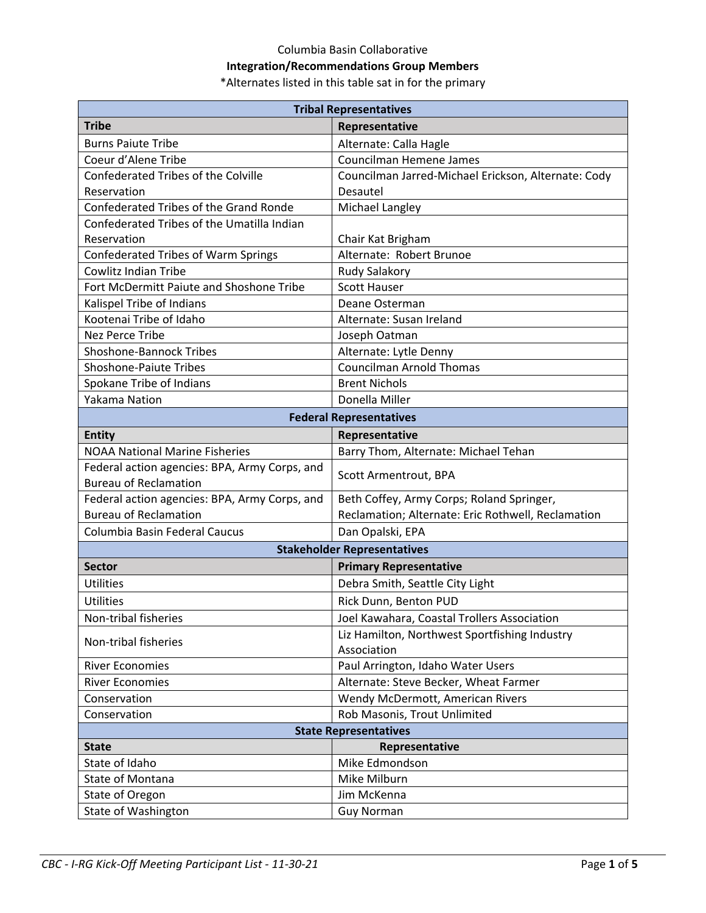## Columbia Basin Collaborative

## **Integration/Recommendations Group Members**

\*Alternates listed in this table sat in for the primary

| <b>Tribal Representatives</b>                                                 |                                                     |
|-------------------------------------------------------------------------------|-----------------------------------------------------|
| <b>Tribe</b>                                                                  | Representative                                      |
| <b>Burns Paiute Tribe</b>                                                     | Alternate: Calla Hagle                              |
| Coeur d'Alene Tribe                                                           | Councilman Hemene James                             |
| <b>Confederated Tribes of the Colville</b>                                    | Councilman Jarred-Michael Erickson, Alternate: Cody |
| Reservation                                                                   | Desautel                                            |
| Confederated Tribes of the Grand Ronde                                        | Michael Langley                                     |
| Confederated Tribes of the Umatilla Indian                                    |                                                     |
| Reservation                                                                   | Chair Kat Brigham                                   |
| Confederated Tribes of Warm Springs                                           | Alternate: Robert Brunoe                            |
| <b>Cowlitz Indian Tribe</b>                                                   | Rudy Salakory                                       |
| Fort McDermitt Paiute and Shoshone Tribe                                      | <b>Scott Hauser</b>                                 |
| Kalispel Tribe of Indians                                                     | Deane Osterman                                      |
| Kootenai Tribe of Idaho                                                       | Alternate: Susan Ireland                            |
| Nez Perce Tribe                                                               | Joseph Oatman                                       |
| <b>Shoshone-Bannock Tribes</b>                                                | Alternate: Lytle Denny                              |
| <b>Shoshone-Paiute Tribes</b>                                                 | <b>Councilman Arnold Thomas</b>                     |
| Spokane Tribe of Indians                                                      | <b>Brent Nichols</b>                                |
| Yakama Nation                                                                 | Donella Miller                                      |
| <b>Federal Representatives</b>                                                |                                                     |
| <b>Entity</b>                                                                 | Representative                                      |
| <b>NOAA National Marine Fisheries</b>                                         | Barry Thom, Alternate: Michael Tehan                |
| Federal action agencies: BPA, Army Corps, and<br><b>Bureau of Reclamation</b> | Scott Armentrout, BPA                               |
| Federal action agencies: BPA, Army Corps, and                                 | Beth Coffey, Army Corps; Roland Springer,           |
| <b>Bureau of Reclamation</b>                                                  | Reclamation; Alternate: Eric Rothwell, Reclamation  |
| Columbia Basin Federal Caucus                                                 | Dan Opalski, EPA                                    |
| <b>Stakeholder Representatives</b>                                            |                                                     |
| <b>Sector</b>                                                                 | <b>Primary Representative</b>                       |
| Utilities                                                                     | Debra Smith, Seattle City Light                     |
| Utilities                                                                     | Rick Dunn, Benton PUD                               |
| Non-tribal fisheries                                                          | Joel Kawahara, Coastal Trollers Association         |
|                                                                               | Liz Hamilton, Northwest Sportfishing Industry       |
| Non-tribal fisheries                                                          | Association                                         |
| <b>River Economies</b>                                                        | Paul Arrington, Idaho Water Users                   |
| <b>River Economies</b>                                                        | Alternate: Steve Becker, Wheat Farmer               |
| Conservation                                                                  | Wendy McDermott, American Rivers                    |
| Conservation                                                                  | Rob Masonis, Trout Unlimited                        |
| <b>State Representatives</b>                                                  |                                                     |
| <b>State</b>                                                                  | Representative                                      |
| State of Idaho                                                                | Mike Edmondson                                      |
| State of Montana                                                              | Mike Milburn                                        |
| State of Oregon                                                               | Jim McKenna                                         |
| State of Washington                                                           | <b>Guy Norman</b>                                   |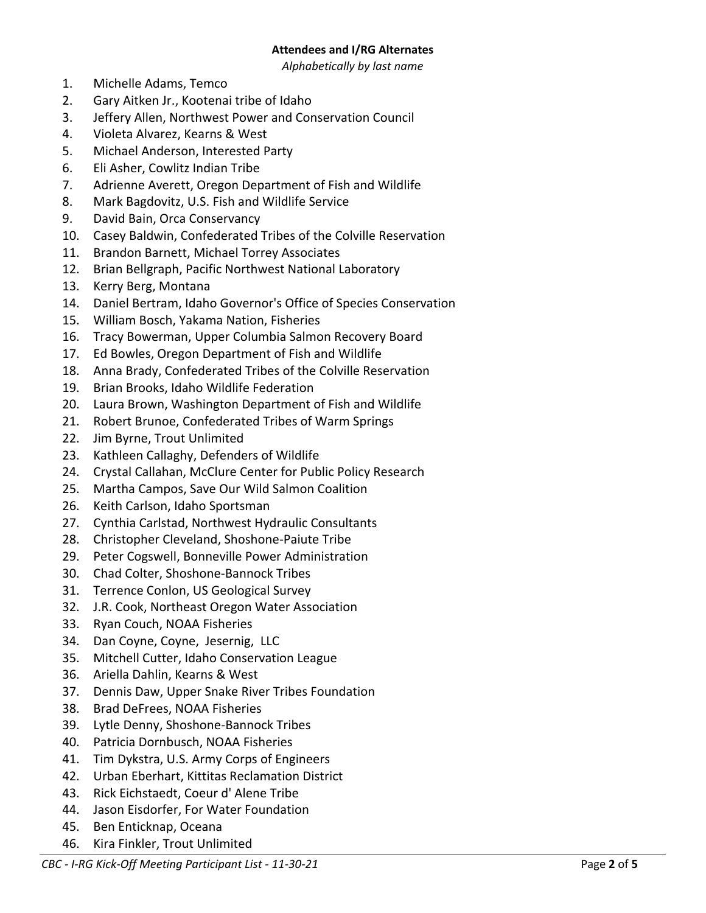## **Attendees and I/RG Alternates**

*Alphabetically by last name*

- 1. Michelle Adams, Temco
- 2. Gary Aitken Jr., Kootenai tribe of Idaho
- 3. Jeffery Allen, Northwest Power and Conservation Council
- 4. Violeta Alvarez, Kearns & West
- 5. Michael Anderson, Interested Party
- 6. Eli Asher, Cowlitz Indian Tribe
- 7. Adrienne Averett, Oregon Department of Fish and Wildlife
- 8. Mark Bagdovitz, U.S. Fish and Wildlife Service
- 9. David Bain, Orca Conservancy
- 10. Casey Baldwin, Confederated Tribes of the Colville Reservation
- 11. Brandon Barnett, Michael Torrey Associates
- 12. Brian Bellgraph, Pacific Northwest National Laboratory
- 13. Kerry Berg, Montana
- 14. Daniel Bertram, Idaho Governor's Office of Species Conservation
- 15. William Bosch, Yakama Nation, Fisheries
- 16. Tracy Bowerman, Upper Columbia Salmon Recovery Board
- 17. Ed Bowles, Oregon Department of Fish and Wildlife
- 18. Anna Brady, Confederated Tribes of the Colville Reservation
- 19. Brian Brooks, Idaho Wildlife Federation
- 20. Laura Brown, Washington Department of Fish and Wildlife
- 21. Robert Brunoe, Confederated Tribes of Warm Springs
- 22. Jim Byrne, Trout Unlimited
- 23. Kathleen Callaghy, Defenders of Wildlife
- 24. Crystal Callahan, McClure Center for Public Policy Research
- 25. Martha Campos, Save Our Wild Salmon Coalition
- 26. Keith Carlson, Idaho Sportsman
- 27. Cynthia Carlstad, Northwest Hydraulic Consultants
- 28. Christopher Cleveland, Shoshone-Paiute Tribe
- 29. Peter Cogswell, Bonneville Power Administration
- 30. Chad Colter, Shoshone-Bannock Tribes
- 31. Terrence Conlon, US Geological Survey
- 32. J.R. Cook, Northeast Oregon Water Association
- 33. Ryan Couch, NOAA Fisheries
- 34. Dan Coyne, Coyne, Jesernig, LLC
- 35. Mitchell Cutter, Idaho Conservation League
- 36. Ariella Dahlin, Kearns & West
- 37. Dennis Daw, Upper Snake River Tribes Foundation
- 38. Brad DeFrees, NOAA Fisheries
- 39. Lytle Denny, Shoshone-Bannock Tribes
- 40. Patricia Dornbusch, NOAA Fisheries
- 41. Tim Dykstra, U.S. Army Corps of Engineers
- 42. Urban Eberhart, Kittitas Reclamation District
- 43. Rick Eichstaedt, Coeur d' Alene Tribe
- 44. Jason Eisdorfer, For Water Foundation
- 45. Ben Enticknap, Oceana
- 46. Kira Finkler, Trout Unlimited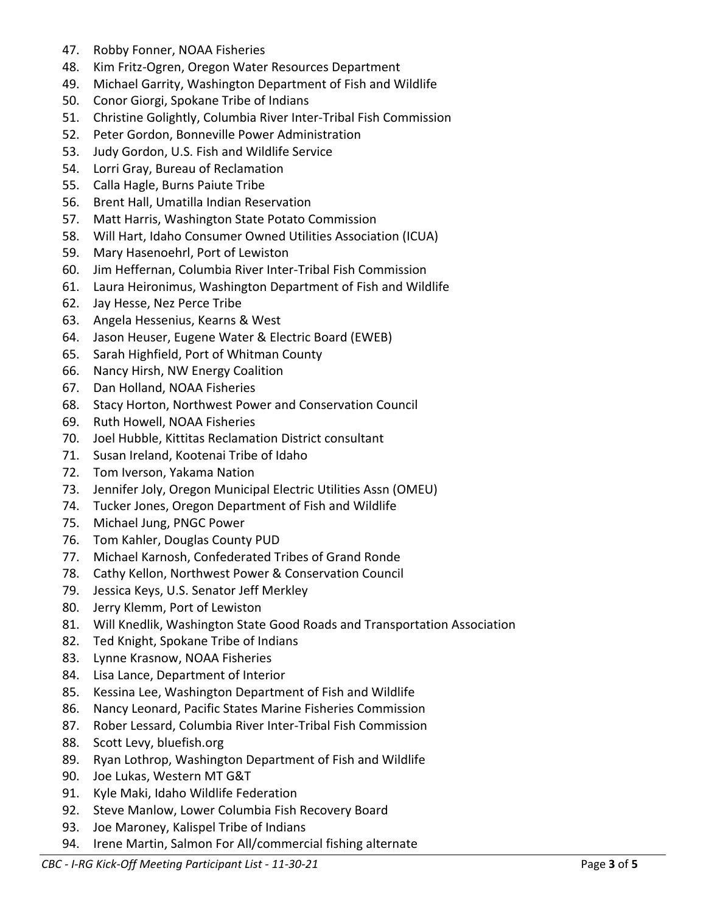- 47. Robby Fonner, NOAA Fisheries
- 48. Kim Fritz-Ogren, Oregon Water Resources Department
- 49. Michael Garrity, Washington Department of Fish and Wildlife
- 50. Conor Giorgi, Spokane Tribe of Indians
- 51. Christine Golightly, Columbia River Inter-Tribal Fish Commission
- 52. Peter Gordon, Bonneville Power Administration
- 53. Judy Gordon, U.S. Fish and Wildlife Service
- 54. Lorri Gray, Bureau of Reclamation
- 55. Calla Hagle, Burns Paiute Tribe
- 56. Brent Hall, Umatilla Indian Reservation
- 57. Matt Harris, Washington State Potato Commission
- 58. Will Hart, Idaho Consumer Owned Utilities Association (ICUA)
- 59. Mary Hasenoehrl, Port of Lewiston
- 60. Jim Heffernan, Columbia River Inter-Tribal Fish Commission
- 61. Laura Heironimus, Washington Department of Fish and Wildlife
- 62. Jay Hesse, Nez Perce Tribe
- 63. Angela Hessenius, Kearns & West
- 64. Jason Heuser, Eugene Water & Electric Board (EWEB)
- 65. Sarah Highfield, Port of Whitman County
- 66. Nancy Hirsh, NW Energy Coalition
- 67. Dan Holland, NOAA Fisheries
- 68. Stacy Horton, Northwest Power and Conservation Council
- 69. Ruth Howell, NOAA Fisheries
- 70. Joel Hubble, Kittitas Reclamation District consultant
- 71. Susan Ireland, Kootenai Tribe of Idaho
- 72. Tom Iverson, Yakama Nation
- 73. Jennifer Joly, Oregon Municipal Electric Utilities Assn (OMEU)
- 74. Tucker Jones, Oregon Department of Fish and Wildlife
- 75. Michael Jung, PNGC Power
- 76. Tom Kahler, Douglas County PUD
- 77. Michael Karnosh, Confederated Tribes of Grand Ronde
- 78. Cathy Kellon, Northwest Power & Conservation Council
- 79. Jessica Keys, U.S. Senator Jeff Merkley
- 80. Jerry Klemm, Port of Lewiston
- 81. Will Knedlik, Washington State Good Roads and Transportation Association
- 82. Ted Knight, Spokane Tribe of Indians
- 83. Lynne Krasnow, NOAA Fisheries
- 84. Lisa Lance, Department of Interior
- 85. Kessina Lee, Washington Department of Fish and Wildlife
- 86. Nancy Leonard, Pacific States Marine Fisheries Commission
- 87. Rober Lessard, Columbia River Inter-Tribal Fish Commission
- 88. Scott Levy, bluefish.org
- 89. Ryan Lothrop, Washington Department of Fish and Wildlife
- 90. Joe Lukas, Western MT G&T
- 91. Kyle Maki, Idaho Wildlife Federation
- 92. Steve Manlow, Lower Columbia Fish Recovery Board
- 93. Joe Maroney, Kalispel Tribe of Indians
- 94. Irene Martin, Salmon For All/commercial fishing alternate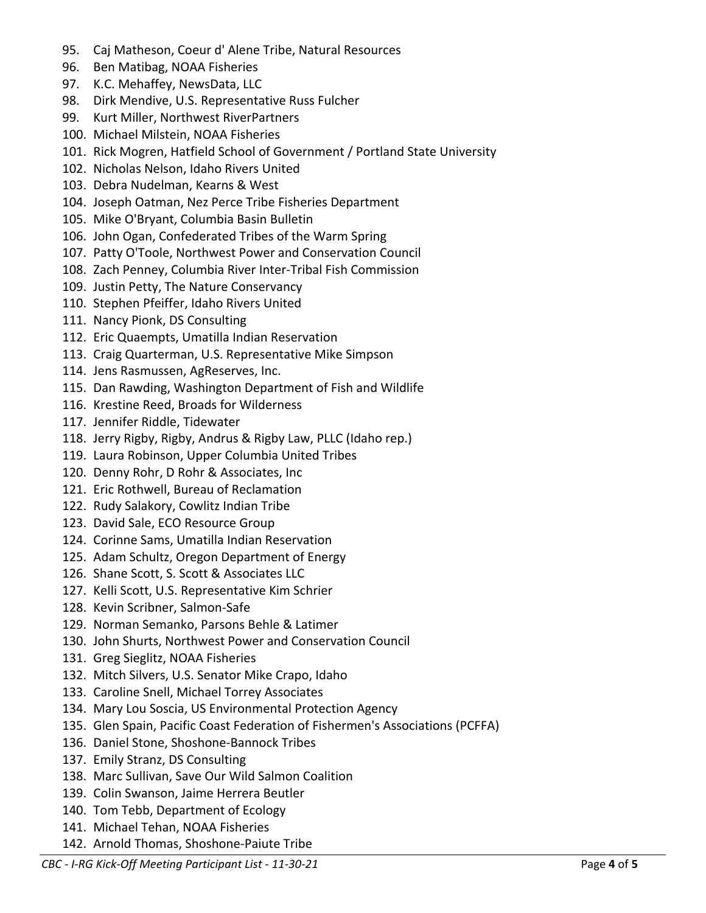- 95. Caj Matheson, Coeur d' Alene Tribe, Natural Resources
- 96. Ben Matibag, NOAA Fisheries
- 97. K.C. Mehaffey, NewsData, LLC
- 98. Dirk Mendive, U.S. Representative Russ Fulcher
- 99. Kurt Miller, Northwest RiverPartners
- 100. Michael Milstein, NOAA Fisheries
- 101. Rick Mogren, Hatfield School of Government / Portland State University
- 102. Nicholas Nelson, Idaho Rivers United
- 103. Debra Nudelman, Kearns & West
- 104. Joseph Oatman, Nez Perce Tribe Fisheries Department
- 105. Mike O'Bryant, Columbia Basin Bulletin
- 106. John Ogan, Confederated Tribes of the Warm Spring
- 107. Patty O'Toole, Northwest Power and Conservation Council
- 108. Zach Penney, Columbia River Inter-Tribal Fish Commission
- 109. Justin Petty, The Nature Conservancy
- 110. Stephen Pfeiffer, Idaho Rivers United
- 111. Nancy Pionk, DS Consulting
- 112. Eric Quaempts, Umatilla Indian Reservation
- 113. Craig Quarterman, U.S. Representative Mike Simpson
- 114. Jens Rasmussen, AgReserves, Inc.
- 115. Dan Rawding, Washington Department of Fish and Wildlife
- 116. Krestine Reed, Broads for Wilderness
- 117. Jennifer Riddle, Tidewater
- 118. Jerry Rigby, Rigby, Andrus & Rigby Law, PLLC (Idaho rep.)
- 119. Laura Robinson, Upper Columbia United Tribes
- 120. Denny Rohr, D Rohr & Associates, Inc
- 121. Eric Rothwell, Bureau of Reclamation
- 122. Rudy Salakory, Cowlitz Indian Tribe
- 123. David Sale, ECO Resource Group
- 124. Corinne Sams, Umatilla Indian Reservation
- 125. Adam Schultz, Oregon Department of Energy
- 126. Shane Scott, S. Scott & Associates LLC
- 127. Kelli Scott, U.S. Representative Kim Schrier
- 128. Kevin Scribner, Salmon-Safe
- 129. Norman Semanko, Parsons Behle & Latimer
- 130. John Shurts, Northwest Power and Conservation Council
- 131. Greg Sieglitz, NOAA Fisheries
- 132. Mitch Silvers, U.S. Senator Mike Crapo, Idaho
- 133. Caroline Snell, Michael Torrey Associates
- 134. Mary Lou Soscia, US Environmental Protection Agency
- 135. Glen Spain, Pacific Coast Federation of Fishermen's Associations (PCFFA)
- 136. Daniel Stone, Shoshone-Bannock Tribes
- 137. Emily Stranz, DS Consulting
- 138. Marc Sullivan, Save Our Wild Salmon Coalition
- 139. Colin Swanson, Jaime Herrera Beutler
- 140. Tom Tebb, Department of Ecology
- 141. Michael Tehan, NOAA Fisheries
- 142. Arnold Thomas, Shoshone-Paiute Tribe